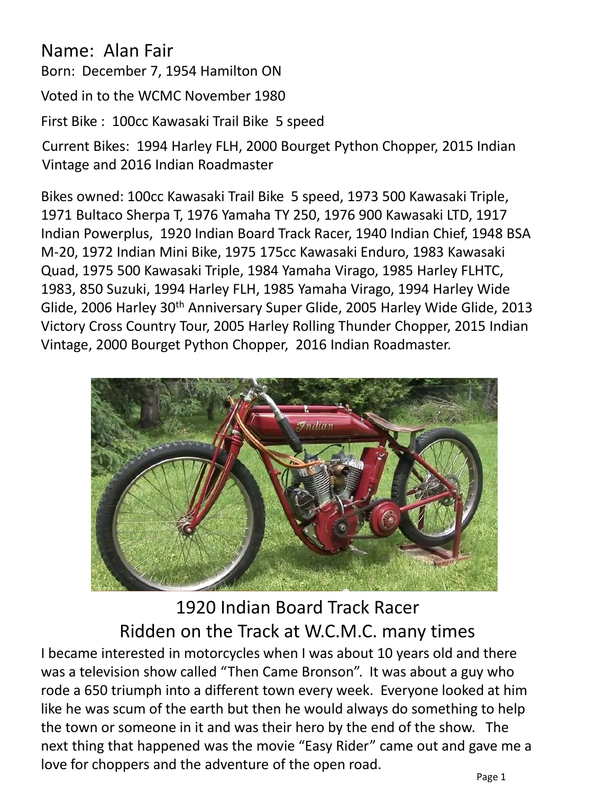## Name: Alan Fair

Born: December 7, 1954 Hamilton ON

Voted in to the WCMC November 1980

First Bike : 100cc Kawasaki Trail Bike 5 speed

Current Bikes: 1994 Harley FLH, 2000 Bourget Python Chopper, 2015 Indian Vintage and 2016 Indian Roadmaster

Bikes owned: 100cc Kawasaki Trail Bike 5 speed, 1973 500 Kawasaki Triple, 1971 Bultaco Sherpa T, 1976 Yamaha TY 250, 1976 900 Kawasaki LTD, 1917 Indian Powerplus, 1920 Indian Board Track Racer, 1940 Indian Chief, 1948 BSA M-20, 1972 Indian Mini Bike, 1975 175cc Kawasaki Enduro, 1983 Kawasaki Quad, 1975 500 Kawasaki Triple, 1984 Yamaha Virago, 1985 Harley FLHTC, 1983, 850 Suzuki, 1994 Harley FLH, 1985 Yamaha Virago, 1994 Harley Wide Glide, 2006 Harley 30<sup>th</sup> Anniversary Super Glide, 2005 Harley Wide Glide, 2013 Victory Cross Country Tour, 2005 Harley Rolling Thunder Chopper, 2015 Indian Vintage, 2000 Bourget Python Chopper, 2016 Indian Roadmaster.



1920 Indian Board Track Racer Ridden on the Track at W.C.M.C. many times

I became interested in motorcycles when I was about 10 years old and there was a television show called "Then Came Bronson". It was about a guy who rode a 650 triumph into a different town every week. Everyone looked at him like he was scum of the earth but then he would always do something to help the town or someone in it and was their hero by the end of the show. The next thing that happened was the movie "Easy Rider" came out and gave me a love for choppers and the adventure of the open road.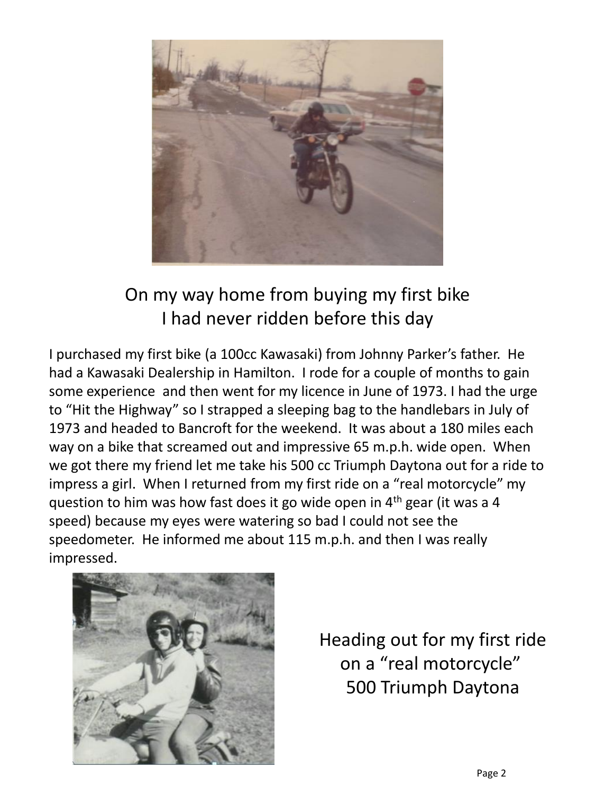

## On my way home from buying my first bike I had never ridden before this day

I purchased my first bike (a 100cc Kawasaki) from Johnny Parker's father. He had a Kawasaki Dealership in Hamilton. I rode for a couple of months to gain some experience and then went for my licence in June of 1973. I had the urge to "Hit the Highway" so I strapped a sleeping bag to the handlebars in July of 1973 and headed to Bancroft for the weekend. It was about a 180 miles each way on a bike that screamed out and impressive 65 m.p.h. wide open. When we got there my friend let me take his 500 cc Triumph Daytona out for a ride to impress a girl. When I returned from my first ride on a "real motorcycle" my question to him was how fast does it go wide open in 4th gear (it was a 4 speed) because my eyes were watering so bad I could not see the speedometer. He informed me about 115 m.p.h. and then I was really impressed.



Heading out for my first ride on a "real motorcycle" 500 Triumph Daytona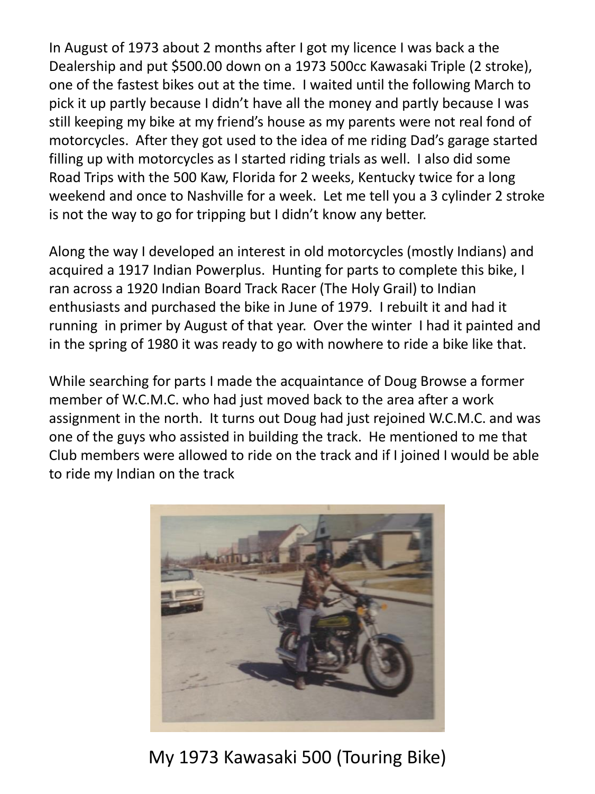In August of 1973 about 2 months after I got my licence I was back a the Dealership and put \$500.00 down on a 1973 500cc Kawasaki Triple (2 stroke), one of the fastest bikes out at the time. I waited until the following March to pick it up partly because I didn't have all the money and partly because I was still keeping my bike at my friend's house as my parents were not real fond of motorcycles. After they got used to the idea of me riding Dad's garage started filling up with motorcycles as I started riding trials as well. I also did some Road Trips with the 500 Kaw, Florida for 2 weeks, Kentucky twice for a long weekend and once to Nashville for a week. Let me tell you a 3 cylinder 2 stroke is not the way to go for tripping but I didn't know any better.

Along the way I developed an interest in old motorcycles (mostly Indians) and acquired a 1917 Indian Powerplus. Hunting for parts to complete this bike, I ran across a 1920 Indian Board Track Racer (The Holy Grail) to Indian enthusiasts and purchased the bike in June of 1979. I rebuilt it and had it running in primer by August of that year. Over the winter I had it painted and in the spring of 1980 it was ready to go with nowhere to ride a bike like that.

While searching for parts I made the acquaintance of Doug Browse a former member of W.C.M.C. who had just moved back to the area after a work assignment in the north. It turns out Doug had just rejoined W.C.M.C. and was one of the guys who assisted in building the track. He mentioned to me that Club members were allowed to ride on the track and if I joined I would be able to ride my Indian on the track



My 1973 Kawasaki 500 (Touring Bike)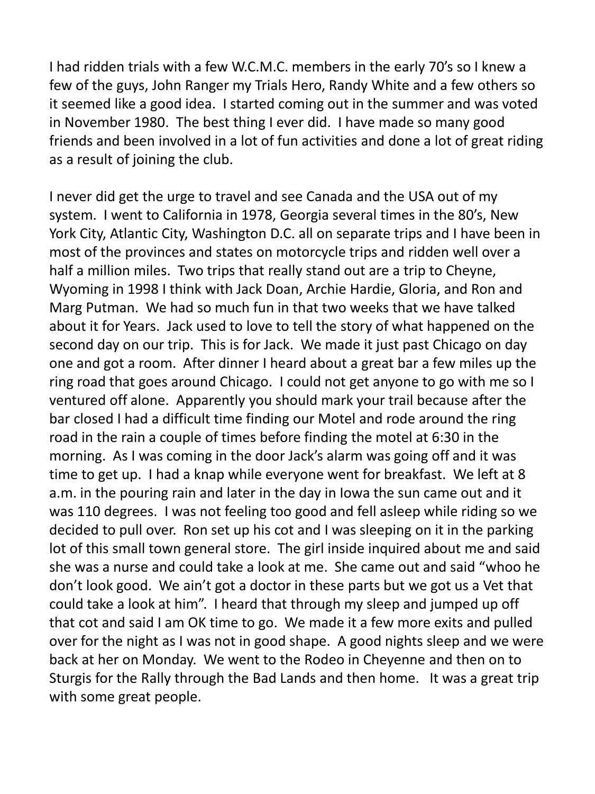I had ridden trials with a few W.C.M.C. members in the early 70's so I knew a few of the guys, John Ranger my Trials Hero, Randy White and a few others so it seemed like a good idea. I started coming out in the summer and was voted in November 1980. The best thing I ever did. I have made so many good friends and been involved in a lot of fun activities and done a lot of great riding as a result of joining the club.

I never did get the urge to travel and see Canada and the USA out of my system. I went to California in 1978, Georgia several times in the 80's, New York City, Atlantic City, Washington D.C. all on separate trips and I have been in most of the provinces and states on motorcycle trips and ridden well over a half a million miles. Two trips that really stand out are a trip to Cheyne, Wyoming in 1998 I think with Jack Doan, Archie Hardie, Gloria, and Ron and Marg Putman. We had so much fun in that two weeks that we have talked about it for Years. Jack used to love to tell the story of what happened on the second day on our trip. This is for Jack. We made it just past Chicago on day one and got a room. After dinner I heard about a great bar a few miles up the ring road that goes around Chicago. I could not get anyone to go with me so I ventured off alone. Apparently you should mark your trail because after the bar closed I had a difficult time finding our Motel and rode around the ring road in the rain a couple of times before finding the motel at 6:30 in the morning. As I was coming in the door Jack's alarm was going off and it was time to get up. I had a knap while everyone went for breakfast. We left at 8 a.m. in the pouring rain and later in the day in Iowa the sun came out and it was 110 degrees. I was not feeling too good and fell asleep while riding so we decided to pull over. Ron set up his cot and I was sleeping on it in the parking lot of this small town general store. The girl inside inquired about me and said she was a nurse and could take a look at me. She came out and said "whoo he don't look good. We ain't got a doctor in these parts but we got us a Vet that could take a look at him". I heard that through my sleep and jumped up off that cot and said I am OK time to go. We made it a few more exits and pulled over for the night as I was not in good shape. A good nights sleep and we were back at her on Monday. We went to the Rodeo in Cheyenne and then on to Sturgis for the Rally through the Bad Lands and then home. It was a great trip with some great people.